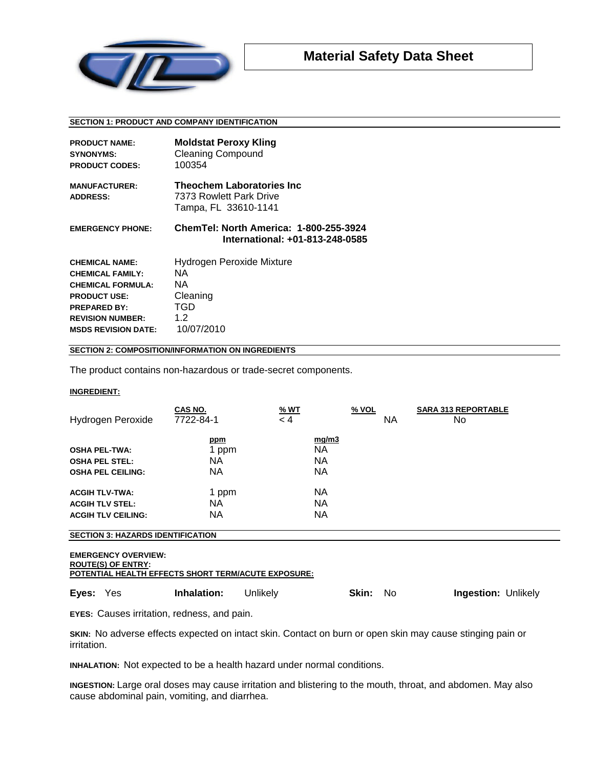

# **SECTION 1: PRODUCT AND COMPANY IDENTIFICATION**

| <b>PRODUCT NAME:</b><br><b>SYNONYMS:</b><br><b>PRODUCT CODES:</b> | <b>Moldstat Peroxy Kling</b><br><b>Cleaning Compound</b><br>100354                   |
|-------------------------------------------------------------------|--------------------------------------------------------------------------------------|
| <b>MANUFACTURER:</b><br><b>ADDRESS:</b>                           | <b>Theochem Laboratories Inc.</b><br>7373 Rowlett Park Drive<br>Tampa, FL 33610-1141 |
| <b>EMERGENCY PHONE:</b>                                           | <b>ChemTel: North America: 1-800-255-3924</b><br>International: +01-813-248-0585     |
|                                                                   |                                                                                      |
| <b>CHEMICAL NAME:</b>                                             | Hydrogen Peroxide Mixture                                                            |
| <b>CHEMICAL FAMILY:</b>                                           | NA.                                                                                  |
| <b>CHEMICAL FORMULA:</b>                                          | ΝA                                                                                   |
| <b>PRODUCT USE:</b>                                               | Cleaning                                                                             |
| <b>PREPARED BY:</b>                                               | TGD                                                                                  |
| <b>REVISION NUMBER:</b>                                           | 1.2                                                                                  |
| <b>MSDS REVISION DATE:</b>                                        | 10/07/2010                                                                           |

# **SECTION 2: COMPOSITION/INFORMATION ON INGREDIENTS**

The product contains non-hazardous or trade-secret components.

# **INGREDIENT:**

| Hydrogen Peroxide                                                            | CAS NO.<br>7722-84-1      | <u>% WT</u><br>$\leq 4$  | % VOL<br>ΝA | <b>SARA 313 REPORTABLE</b><br>No |
|------------------------------------------------------------------------------|---------------------------|--------------------------|-------------|----------------------------------|
| <b>OSHA PEL-TWA:</b><br><b>OSHA PEL STEL:</b><br><b>OSHA PEL CEILING:</b>    | ppm<br>1 ppm<br>ΝA<br>NA. | mg/m3<br>ΝA<br>ΝA<br>NA. |             |                                  |
| <b>ACGIH TLV-TWA:</b><br><b>ACGIH TLV STEL:</b><br><b>ACGIH TLV CEILING:</b> | 1 ppm<br><b>NA</b><br>NA. | ΝA<br><b>NA</b><br>NA    |             |                                  |

# **SECTION 3: HAZARDS IDENTIFICATION**

## **EMERGENCY OVERVIEW: ROUTE(S) OF ENTRY: POTENTIAL HEALTH EFFECTS SHORT TERM/ACUTE EXPOSURE:**

| Eyes: Yes |  | <b>Inhalation:</b> Unlikely |  | <b>Skin:</b> No |  | <b>Ingestion: Unlikely</b> |
|-----------|--|-----------------------------|--|-----------------|--|----------------------------|
|-----------|--|-----------------------------|--|-----------------|--|----------------------------|

**EYES:** Causes irritation, redness, and pain.

**SKIN:** No adverse effects expected on intact skin. Contact on burn or open skin may cause stinging pain or irritation.

**INHALATION:** Not expected to be a health hazard under normal conditions.

**INGESTION:** Large oral doses may cause irritation and blistering to the mouth, throat, and abdomen. May also cause abdominal pain, vomiting, and diarrhea.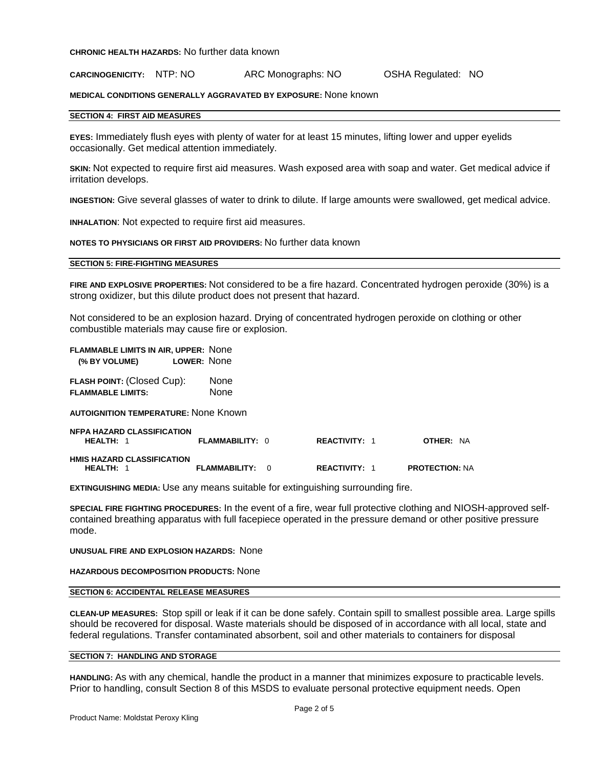**CHRONIC HEALTH HAZARDS:** No further data known

# **CARCINOGENICITY:** NTP: NO ARC Monographs: NO OSHA Regulated: NO

## **MEDICAL CONDITIONS GENERALLY AGGRAVATED BY EXPOSURE:** None known

#### **SECTION 4: FIRST AID MEASURES**

**EYES:** Immediately flush eyes with plenty of water for at least 15 minutes, lifting lower and upper eyelids occasionally. Get medical attention immediately.

**SKIN:** Not expected to require first aid measures. Wash exposed area with soap and water. Get medical advice if irritation develops.

**INGESTION:** Give several glasses of water to drink to dilute. If large amounts were swallowed, get medical advice.

**INHALATION**: Not expected to require first aid measures.

## **NOTES TO PHYSICIANS OR FIRST AID PROVIDERS:** No further data known

## **SECTION 5: FIRE-FIGHTING MEASURES**

**FIRE AND EXPLOSIVE PROPERTIES:** Not considered to be a fire hazard. Concentrated hydrogen peroxide (30%) is a strong oxidizer, but this dilute product does not present that hazard.

Not considered to be an explosion hazard. Drying of concentrated hydrogen peroxide on clothing or other combustible materials may cause fire or explosion.

|  | FLAMMABLE LIMITS IN AIR, UPPER: None |  |  |
|--|--------------------------------------|--|--|
|--|--------------------------------------|--|--|

 **(% BY VOLUME) LOWER:** None

**FLASH POINT:** (Closed Cup): None **FLAMMABLE LIMITS:** None

**AUTOIGNITION TEMPERATURE:** None Known

| <b>NEPA HAZARD CLASSIFICATION</b><br>HEALTH: 1 | <b>FLAMMABILITY: 0</b> | <b>REACTIVITY: 1</b> | OTHER: NA             |
|------------------------------------------------|------------------------|----------------------|-----------------------|
| <b>HMIS HAZARD CLASSIFICATION</b><br>HEALTH: 1 | <b>FLAMMABILITY: 0</b> | <b>REACTIVITY: 1</b> | <b>PROTECTION: NA</b> |

**EXTINGUISHING MEDIA:** Use any means suitable for extinguishing surrounding fire.

**SPECIAL FIRE FIGHTING PROCEDURES:** In the event of a fire, wear full protective clothing and NIOSH-approved selfcontained breathing apparatus with full facepiece operated in the pressure demand or other positive pressure mode.

**UNUSUAL FIRE AND EXPLOSION HAZARDS:** None

**HAZARDOUS DECOMPOSITION PRODUCTS:** None

## **SECTION 6: ACCIDENTAL RELEASE MEASURES**

**CLEAN-UP MEASURES:** Stop spill or leak if it can be done safely. Contain spill to smallest possible area. Large spills should be recovered for disposal. Waste materials should be disposed of in accordance with all local, state and federal regulations. Transfer contaminated absorbent, soil and other materials to containers for disposal

# **SECTION 7: HANDLING AND STORAGE**

**HANDLING:** As with any chemical, handle the product in a manner that minimizes exposure to practicable levels. Prior to handling, consult Section 8 of this MSDS to evaluate personal protective equipment needs. Open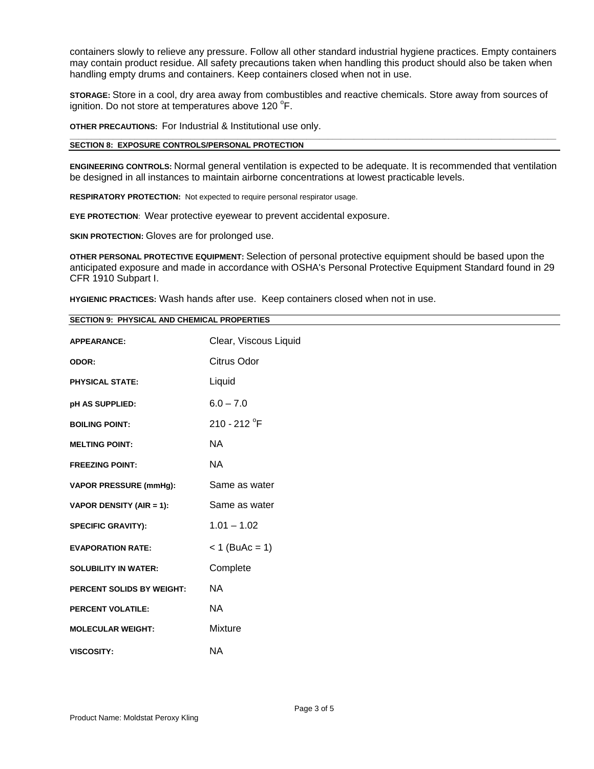containers slowly to relieve any pressure. Follow all other standard industrial hygiene practices. Empty containers may contain product residue. All safety precautions taken when handling this product should also be taken when handling empty drums and containers. Keep containers closed when not in use.

**STORAGE:** Store in a cool, dry area away from combustibles and reactive chemicals. Store away from sources of ignition. Do not store at temperatures above 120 °F.

**OTHER PRECAUTIONS:** For Industrial & Institutional use only.

#### **\_\_\_\_\_\_\_\_\_\_\_\_\_\_\_\_\_\_\_\_\_\_\_\_\_\_\_\_\_\_\_\_\_\_\_\_\_\_\_\_\_\_\_\_\_\_\_\_\_\_\_\_\_\_\_\_\_\_\_\_\_\_\_\_\_\_\_\_\_\_\_\_\_\_\_\_\_\_\_\_\_\_\_\_\_\_\_\_\_\_\_\_\_\_\_\_\_\_\_\_\_\_\_\_\_\_\_\_\_\_\_\_\_ SECTION 8: EXPOSURE CONTROLS/PERSONAL PROTECTION**

**ENGINEERING CONTROLS:** Normal general ventilation is expected to be adequate. It is recommended that ventilation be designed in all instances to maintain airborne concentrations at lowest practicable levels.

**RESPIRATORY PROTECTION:** Not expected to require personal respirator usage.

**EYE PROTECTION**: Wear protective eyewear to prevent accidental exposure.

**SKIN PROTECTION: Gloves are for prolonged use.** 

**OTHER PERSONAL PROTECTIVE EQUIPMENT:** Selection of personal protective equipment should be based upon the anticipated exposure and made in accordance with OSHA's Personal Protective Equipment Standard found in 29 CFR 1910 Subpart I.

**HYGIENIC PRACTICES:** Wash hands after use. Keep containers closed when not in use.

| SECTION 9: PHYSICAL AND CHEMICAL PROPERTIES |                       |  |  |
|---------------------------------------------|-----------------------|--|--|
| <b>APPEARANCE:</b>                          | Clear, Viscous Liquid |  |  |
| ODOR:                                       | Citrus Odor           |  |  |
| <b>PHYSICAL STATE:</b>                      | Liquid                |  |  |
| pH AS SUPPLIED:                             | $6.0 - 7.0$           |  |  |
| <b>BOILING POINT:</b>                       | 210 - 212 °F          |  |  |
| <b>MELTING POINT:</b>                       | <b>NA</b>             |  |  |
| <b>FREEZING POINT:</b>                      | <b>NA</b>             |  |  |
| <b>VAPOR PRESSURE (mmHg):</b>               | Same as water         |  |  |
| VAPOR DENSITY (AIR = 1):                    | Same as water         |  |  |
| <b>SPECIFIC GRAVITY):</b>                   | $1.01 - 1.02$         |  |  |
| <b>EVAPORATION RATE:</b>                    | $< 1$ (BuAc = 1)      |  |  |
| <b>SOLUBILITY IN WATER:</b>                 | Complete              |  |  |
| PERCENT SOLIDS BY WEIGHT:                   | <b>NA</b>             |  |  |
| <b>PERCENT VOLATILE:</b>                    | <b>NA</b>             |  |  |
| <b>MOLECULAR WEIGHT:</b>                    | Mixture               |  |  |
| <b>VISCOSITY:</b>                           | <b>NA</b>             |  |  |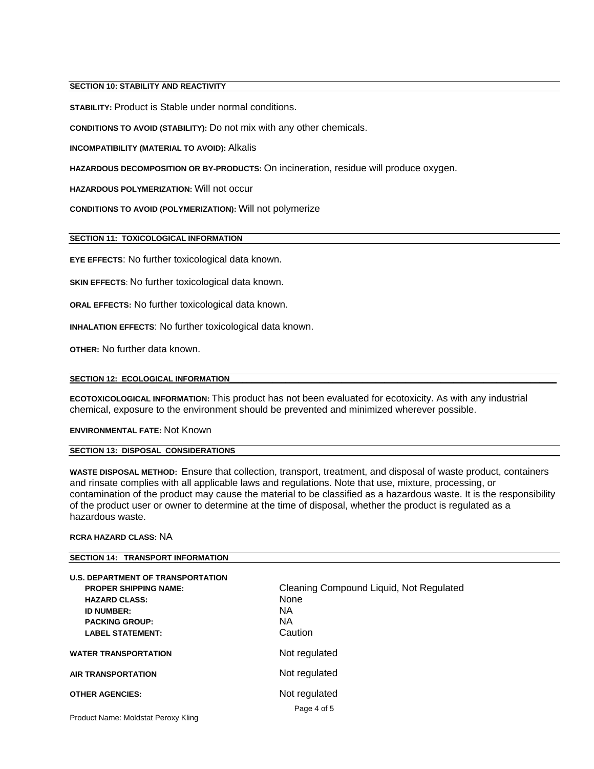# **SECTION 10: STABILITY AND REACTIVITY**

**STABILITY:** Product is Stable under normal conditions.

**CONDITIONS TO AVOID (STABILITY):** Do not mix with any other chemicals.

**INCOMPATIBILITY (MATERIAL TO AVOID):** Alkalis

**HAZARDOUS DECOMPOSITION OR BY-PRODUCTS:** On incineration, residue will produce oxygen.

**HAZARDOUS POLYMERIZATION:** Will not occur

**CONDITIONS TO AVOID (POLYMERIZATION):** Will not polymerize

**SECTION 11: TOXICOLOGICAL INFORMATION** 

**EYE EFFECTS**: No further toxicological data known.

**SKIN EFFECTS**: No further toxicological data known.

**ORAL EFFECTS:** No further toxicological data known.

**INHALATION EFFECTS**: No further toxicological data known.

**OTHER:** No further data known.

# SECTION 12: ECOLOGICAL INFORMATION

**ECOTOXICOLOGICAL INFORMATION:** This product has not been evaluated for ecotoxicity. As with any industrial chemical, exposure to the environment should be prevented and minimized wherever possible.

**ENVIRONMENTAL FATE:** Not Known

## **SECTION 13: DISPOSAL CONSIDERATIONS**

**WASTE DISPOSAL METHOD:** Ensure that collection, transport, treatment, and disposal of waste product, containers and rinsate complies with all applicable laws and regulations. Note that use, mixture, processing, or contamination of the product may cause the material to be classified as a hazardous waste. It is the responsibility of the product user or owner to determine at the time of disposal, whether the product is regulated as a hazardous waste.

# **RCRA HAZARD CLASS:** NA

# **SECTION 14: TRANSPORT INFORMATION**

| <b>U.S. DEPARTMENT OF TRANSPORTATION</b> |                                         |
|------------------------------------------|-----------------------------------------|
| <b>PROPER SHIPPING NAME:</b>             | Cleaning Compound Liquid, Not Regulated |
| <b>HAZARD CLASS:</b>                     | <b>None</b>                             |
| <b>ID NUMBER:</b>                        | <b>NA</b>                               |
| <b>PACKING GROUP:</b>                    | <b>NA</b>                               |
| <b>LABEL STATEMENT:</b>                  | Caution                                 |
| <b>WATER TRANSPORTATION</b>              | Not regulated                           |
| <b>AIR TRANSPORTATION</b>                | Not regulated                           |
| <b>OTHER AGENCIES:</b>                   | Not regulated                           |
| Product Name: Moldstat Peroxy Kling      | Page 4 of 5                             |